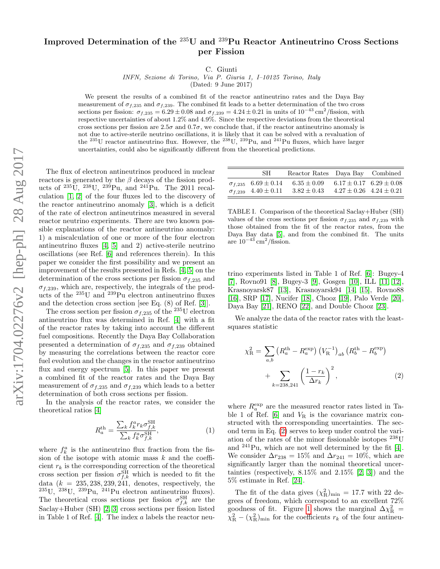## arXiv:1704.02276v2 [hep-ph] 28 Aug 2017 arXiv:1704.02276v2 [hep-ph] 28 Aug 2017

## Improved Determination of the <sup>235</sup>U and <sup>239</sup>Pu Reactor Antineutrino Cross Sections per Fission

C. Giunti

INFN, Sezione di Torino, Via P. Giuria 1, I–10125 Torino, Italy

(Dated: 9 June 2017)

We present the results of a combined fit of the reactor antineutrino rates and the Daya Bay measurement of  $\sigma_{f,235}$  and  $\sigma_{f,239}$ . The combined fit leads to a better determination of the two cross sections per fission:  $\sigma_{f,235} = 6.29 \pm 0.08$  and  $\sigma_{f,239} = 4.24 \pm 0.21$  in units of  $10^{-43}$  cm<sup>2</sup>/fission, with respective uncertainties of about 1.2% and 4.9%. Since the respective deviations from the theoretical cross sections per fission are  $2.5\sigma$  and  $0.7\sigma$ , we conclude that, if the reactor antineutrino anomaly is not due to active-sterile neutrino oscillations, it is likely that it can be solved with a revaluation of the <sup>235</sup>U reactor antineutrino flux. However, the <sup>238</sup>U, <sup>239</sup>Pu, and <sup>241</sup>Pu fluxes, which have larger uncertainties, could also be significantly different from the theoretical predictions.

The flux of electron antineutrinos produced in nuclear reactors is generated by the  $\beta$  decays of the fission products of  $^{235}$ U,  $^{238}$ U,  $^{239}$ Pu, and  $^{241}$ Pu. The 2011 recalculation [\[1,](#page-2-0) [2\]](#page-2-1) of the four fluxes led to the discovery of the reactor antineutrino anomaly [\[3\]](#page-2-2), which is a deficit of the rate of electron antineutrinos measured in several reactor neutrino experiments. There are two known possible explanations of the reactor antineutrino anomaly: 1) a miscalculation of one or more of the four electron antineutrino fluxes [\[4,](#page-3-0) [5\]](#page-3-1) and 2) active-sterile neutrino oscillations (see Ref. [\[6\]](#page-3-2) and references therein). In this paper we consider the first possibility and we present an improvement of the results presented in Refs. [\[4,](#page-3-0) [5\]](#page-3-1) on the determination of the cross sections per fission  $\sigma_{f,235}$  and  $\sigma_{f,239}$ , which are, respectively, the integrals of the products of the <sup>235</sup>U and <sup>239</sup>Pu electron antineutrino fluxes and the detection cross section [see Eq. (8) of Ref. [\[3\]](#page-2-2)].

The cross section per fission  $\sigma_{f,235}$  of the <sup>235</sup>U electron antineutrino flux was determined in Ref. [\[4\]](#page-3-0) with a fit of the reactor rates by taking into account the different fuel compositions. Recently the Daya Bay Collaboration presented a determination of  $\sigma_{f,235}$  and  $\sigma_{f,239}$  obtained by measuring the correlations between the reactor core fuel evolution and the changes in the reactor antineutrino flux and energy spectrum [\[5\]](#page-3-1). In this paper we present a combined fit of the reactor rates and the Daya Bay measurement of  $\sigma_{f,235}$  and  $\sigma_{f,239}$  which leads to a better determination of both cross sections per fission.

In the analysis of the reactor rates, we consider the theoretical ratios [\[4\]](#page-3-0)

<span id="page-0-2"></span>
$$
R_a^{\text{th}} = \frac{\sum_k f_k^a r_k \sigma_{f,k}^{\text{SH}}}{\sum_k f_k^a \sigma_{f,k}^{\text{SH}}},\tag{1}
$$

where  $f_k^a$  is the antineutrino flux fraction from the fission of the isotope with atomic mass  $k$  and the coefficient  $r_k$  is the corresponding correction of the theoretical cross section per fission  $\sigma_{f,k}^{\text{SH}}$  which is needed to fit the data  $(k = 235, 238, 239, 241,$  denotes, respectively, the  $^{235}$ U,  $^{238}$ U,  $^{239}$ Pu,  $^{241}$ Pu electron antineutrino fluxes). The theoretical cross sections per fission  $\sigma_{f,k}^{\text{SH}}$  are the Saclay+Huber (SH) [\[2,](#page-2-1) [3\]](#page-2-2) cross sections per fission listed in Table 1 of Ref. [\[4\]](#page-3-0). The index a labels the reactor neu-

| SH.                                                                  | Reactor Rates Daya Bay Combined    |                                                                    |  |
|----------------------------------------------------------------------|------------------------------------|--------------------------------------------------------------------|--|
| $\sigma_{f,235}$ 6.69 $\pm$ 0.14<br>$\sigma_{f,239}$ 4.40 $\pm$ 0.11 | $6.35 \pm 0.09$<br>$3.82 \pm 0.43$ | $6.17 \pm 0.17$ $6.29 \pm 0.08$<br>$4.27 \pm 0.26$ $4.24 \pm 0.21$ |  |

<span id="page-0-1"></span>TABLE I. Comparison of the theoretical Saclay+Huber (SH) values of the cross sections per fission  $\sigma_{f,235}$  and  $\sigma_{f,239}$  with those obtained from the fit of the reactor rates, from the Daya Bay data [\[5\]](#page-3-1), and from the combined fit. The units are  $10^{-43}$  cm<sup>2</sup>/fission.

trino experiments listed in Table 1 of Ref. [\[6\]](#page-3-2): Bugey-4 [\[7\]](#page-3-3), Rovno91 [\[8\]](#page-3-4), Bugey-3 [\[9\]](#page-3-5), Gosgen [\[10\]](#page-3-6), ILL [\[11,](#page-3-7) [12\]](#page-3-8), Krasnoyarsk87 [\[13\]](#page-3-9), Krasnoyarsk94 [\[14,](#page-3-10) [15\]](#page-3-11), Rovno88 [\[16\]](#page-3-12), SRP [\[17\]](#page-3-13), Nucifer [\[18\]](#page-3-14), Chooz [\[19\]](#page-3-15), Palo Verde [\[20\]](#page-3-16), Daya Bay [\[21\]](#page-3-17), RENO [\[22\]](#page-3-18), and Double Chooz [\[23\]](#page-3-19).

We analyze the data of the reactor rates with the leastsquares statistic

<span id="page-0-0"></span>
$$
\chi_{\rm R}^{2} = \sum_{a,b} \left( R_{a}^{\rm th} - R_{a}^{\rm exp} \right) \left( V_{\rm R}^{-1} \right)_{ab} \left( R_{b}^{\rm th} - R_{b}^{\rm exp} \right) + \sum_{k=238,241} \left( \frac{1 - r_{k}}{\Delta r_{k}} \right)^{2}, \tag{2}
$$

where  $R_a^{\text{exp}}$  are the measured reactor rates listed in Table 1 of Ref.  $[6]$  and  $V_R$  is the covariance matrix constructed with the corresponding uncertainties. The second term in Eq. [\(2\)](#page-0-0) serves to keep under control the variation of the rates of the minor fissionable isotopes <sup>238</sup>U and <sup>241</sup>Pu, which are not well determined by the fit [\[4\]](#page-3-0). We consider  $\Delta r_{238} = 15\%$  and  $\Delta r_{241} = 10\%$ , which are significantly larger than the nominal theoretical uncertainties (respectively,  $8.15\%$  and  $2.15\%$  [\[2,](#page-2-1) [3\]](#page-2-2)) and the 5% estimate in Ref. [\[24\]](#page-3-20).

The fit of the data gives  $(\chi^2_R)_{\text{min}} = 17.7$  with 22 degrees of freedom, which correspond to an excellent 72% goodness of fit. Figure [1](#page-1-0) shows the marginal  $\Delta \chi^2$  =  $\chi_{\rm R}^2 - (\chi_{\rm R}^2)_{\rm min}$  for the coefficients  $r_k$  of the four antineu-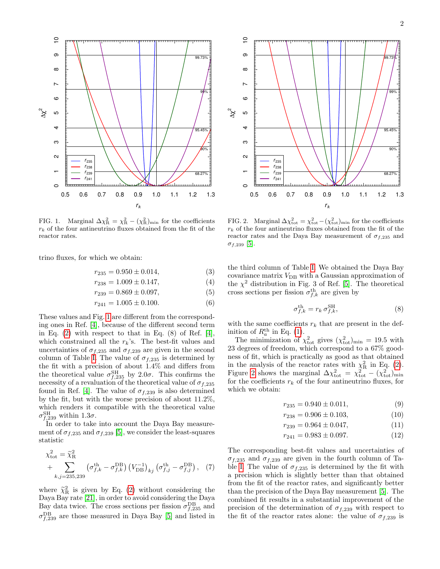

<span id="page-1-0"></span>FIG. 1. Marginal  $\Delta \chi^2_{\rm R} = \chi^2_{\rm R} - (\chi^2_{\rm R})_{\rm min}$  for the coefficients  $r_k$  of the four antineutrino fluxes obtained from the fit of the reactor rates.

trino fluxes, for which we obtain:

$$
r_{235} = 0.950 \pm 0.014,\tag{3}
$$

$$
r_{238} = 1.009 \pm 0.147, \tag{4}
$$
\n
$$
r_{238} = 0.860 \pm 0.007 \tag{5}
$$

$$
r_{239} = 0.869 \pm 0.097,\tag{5}
$$

$$
r_{241} = 1.005 \pm 0.100. \tag{6}
$$

These values and Fig. [1](#page-1-0) are different from the corresponding ones in Ref. [\[4\]](#page-3-0), because of the different second term in Eq.  $(2)$  with respect to that in Eq.  $(8)$  of Ref. [\[4\]](#page-3-0), which constrained all the  $r_k$ 's. The best-fit values and uncertainties of  $\sigma_{f,235}$  and  $\sigma_{f,239}$  are given in the second column of Table [I.](#page-0-1) The value of  $\sigma_{f,235}$  is determined by the fit with a precision of about 1.4% and differs from the theoretical value  $\sigma_{f,235}^{\text{SH}}$  by 2.0 $\sigma$ . This confirms the necessity of a revaluation of the theoretical value of  $\sigma_{f,235}$ found in Ref. [\[4\]](#page-3-0). The value of  $\sigma_{f,239}$  is also determined by the fit, but with the worse precision of about 11.2%, which renders it compatible with the theoretical value  $\sigma_{f,239}^{\rm SH}$  within 1.3 $\sigma$ .

In order to take into account the Daya Bay measurement of  $\sigma_{f,235}$  and  $\sigma_{f,239}$  [\[5\]](#page-3-1), we consider the least-squares statistic

$$
\chi_{\text{tot}}^2 = \widetilde{\chi}_{\text{R}}^2
$$
  
+ 
$$
\sum_{k,j=235,239} \left( \sigma_{f,k}^{\text{th}} - \sigma_{f,k}^{\text{DB}} \right) \left( V_{\text{DB}}^{-1} \right)_{kj} \left( \sigma_{f,j}^{\text{th}} - \sigma_{f,j}^{\text{DB}} \right), \quad (7)
$$

where  $\tilde{\chi}_{\text{R}}^2$  is given by Eq. [\(2\)](#page-0-0) without considering the Dava Bay rate [21] in order to avoid considering the Dava Daya Bay rate [\[21\]](#page-3-17), in order to avoid considering the Daya Bay data twice. The cross sections per fission  $\sigma_{f,235}^{\text{DB}}$  and  $\sigma_{f,239}^{\rm DB}$  are those measured in Daya Bay [\[5\]](#page-3-1) and listed in



<span id="page-1-1"></span>FIG. 2. Marginal  $\Delta \chi^2_{\text{tot}} = \chi^2_{\text{tot}} - (\chi^2_{\text{tot}})_{\text{min}}$  for the coefficients  $r_k$  of the four antineutrino fluxes obtained from the fit of the reactor rates and the Daya Bay measurement of  $\sigma_{f,235}$  and  $\sigma_{f,239}$  [\[5\]](#page-3-1).

the third column of Table [I.](#page-0-1) We obtained the Daya Bay covariance matrix  $V_{\text{DB}}$  with a Gaussian approximation of the  $\chi^2$  distribution in Fig. 3 of Ref. [\[5\]](#page-3-1). The theoretical cross sections per fission  $\sigma_{f,k}^{\text{th}}$  are given by

$$
\sigma_{f,k}^{\text{th}} = r_k \,\sigma_{f,k}^{\text{SH}},\tag{8}
$$

with the same coefficients  $r_k$  that are present in the definition of  $R_a^{\text{th}}$  in Eq. [\(1\)](#page-0-2).

The minimization of  $\chi^2_{\text{tot}}$  gives  $(\chi^2_{\text{tot}})_{\text{min}} = 19.5$  with 23 degrees of freedom, which correspond to a 67% goodness of fit, which is practically as good as that obtained in the analysis of the reactor rates with  $\chi^2$  in Eq. [\(2\)](#page-0-0). Figure [2](#page-1-1) shows the marginal  $\Delta \chi^2_{\text{tot}} = \chi^2_{\text{tot}} - (\chi^2_{\text{tot}})_{\text{min}}$ for the coefficients  $r_k$  of the four antineutrino fluxes, for which we obtain:

$$
r_{235} = 0.940 \pm 0.011,\tag{9}
$$

$$
r_{238} = 0.906 \pm 0.103,\tag{10}
$$

$$
r_{239} = 0.964 \pm 0.047, \tag{11}
$$

$$
r_{241} = 0.983 \pm 0.097. \tag{12}
$$

The corresponding best-fit values and uncertainties of  $\sigma_{f,235}$  and  $\sigma_{f,239}$  are given in the fourth column of Ta-ble [I.](#page-0-1) The value of  $\sigma_{f,235}$  is determined by the fit with a precision which is slightly better than that obtained from the fit of the reactor rates, and significantly better than the precision of the Daya Bay measurement [\[5\]](#page-3-1). The combined fit results in a substantial improvement of the precision of the determination of  $\sigma_{f,239}$  with respect to the fit of the reactor rates alone: the value of  $\sigma_{f,239}$  is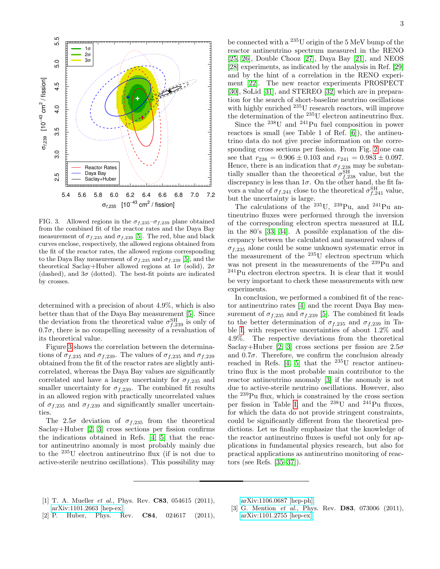

<span id="page-2-3"></span>FIG. 3. Allowed regions in the  $\sigma_{f,235}$ - $\sigma_{f,239}$  plane obtained from the combined fit of the reactor rates and the Daya Bay measurement of  $\sigma_{f,235}$  and  $\sigma_{f,239}$  [\[5\]](#page-3-1). The red, blue and black curves enclose, respectively, the allowed regions obtained from the fit of the reactor rates, the allowed regions corresponding to the Daya Bay measurement of  $\sigma_{f,235}$  and  $\sigma_{f,239}$  [\[5\]](#page-3-1), and the theoretical Saclay+Huber allowed regions at  $1\sigma$  (solid),  $2\sigma$ (dashed), and  $3\sigma$  (dotted). The best-fit points are indicated by crosses.

determined with a precision of about 4.9%, which is also better than that of the Daya Bay measurement [\[5\]](#page-3-1). Since the deviation from the theoretical value  $\sigma_{f,239}^{\rm SH}$  is only of  $0.7\sigma$ , there is no compelling necessity of a revaluation of its theoretical value.

Figure [3](#page-2-3) shows the correlation between the determinations of  $\sigma_{f,235}$  and  $\sigma_{f,239}$ . The values of  $\sigma_{f,235}$  and  $\sigma_{f,239}$ obtained from the fit of the reactor rates are slightly anticorrelated, whereas the Daya Bay values are significantly correlated and have a larger uncertainty for  $\sigma_{f,235}$  and smaller uncertainty for  $\sigma_{f,239}$ . The combined fit results in an allowed region with practically uncorrelated values of  $\sigma_{f,235}$  and  $\sigma_{f,239}$  and significantly smaller uncertainties.

The 2.5 $\sigma$  deviation of  $\sigma_{f,235}$  from the theoretical Saclay+Huber [\[2,](#page-2-1) [3\]](#page-2-2) cross sections per fission confirms the indications obtained in Refs. [\[4,](#page-3-0) [5\]](#page-3-1) that the reactor antineutrino anomaly is most probably mainly due to the <sup>235</sup>U electron antineutrino flux (if is not due to active-sterile neutrino oscillations). This possibility may

be connected with a <sup>235</sup>U origin of the 5 MeV bump of the reactor antineutrino spectrum measured in the RENO [\[25,](#page-3-21) [26\]](#page-3-22), Double Chooz [\[27\]](#page-3-23), Daya Bay [\[21\]](#page-3-17), and NEOS [\[28\]](#page-3-24) experiments, as indicated by the analysis in Ref. [\[29\]](#page-3-25) and by the hint of a correlation in the RENO experiment [\[22\]](#page-3-18). The new reactor experiments PROSPECT [\[30\]](#page-3-26), SoLid [\[31\]](#page-3-27), and STEREO [\[32\]](#page-3-28) which are in preparation for the search of short-baseline neutrino oscillations with highly enriched  $^{235}$ U research reactors, will improve the determination of the <sup>235</sup>U electron antineutrino flux.

Since the  $^{238}$ U and  $^{241}$ Pu fuel composition in power reactors is small (see Table 1 of Ref. [\[6\]](#page-3-2)), the antineutrino data do not give precise information on the corresponding cross sections per fission. From Fig. [2](#page-1-1) one can see that  $r_{238} = 0.906 \pm 0.103$  and  $r_{241} = 0.983 \pm 0.097$ . Hence, there is an indication that  $\sigma_{f,238}$  may be substantially smaller than the theoretical  $\sigma_{f,238}^{\rm SH}$  value, but the discrepancy is less than  $1\sigma$ . On the other hand, the fit favors a value of  $\sigma_{f,241}$  close to the theoretical  $\sigma_{f,241}^{SH}$  value, but the uncertainty is large.

The calculations of the  $^{235}$ U,  $^{239}$ Pu, and  $^{241}$ Pu antineutrino fluxes were performed through the inversion of the corresponding electron spectra measured at ILL in the 80's [\[33,](#page-3-29) [34\]](#page-3-30). A possible explanation of the discrepancy between the calculated and measured values of  $\sigma_{f,235}$  alone could be some unknown systematic error in the measurement of the <sup>235</sup>U electron spectrum which was not present in the measurements of the <sup>239</sup>Pu and <sup>241</sup>Pu electron electron spectra. It is clear that it would be very important to check these measurements with new experiments.

In conclusion, we performed a combined fit of the reactor antineutrino rates [\[4\]](#page-3-0) and the recent Daya Bay measurement of  $\sigma_{f,235}$  and  $\sigma_{f,239}$  [\[5\]](#page-3-1). The combined fit leads to the better determination of  $\sigma_{f,235}$  and  $\sigma_{f,239}$  in Table [I,](#page-0-1) with respective uncertainties of about 1.2% and 4.9%. The respective deviations from the theoretical Saclay+Huber [\[2,](#page-2-1) [3\]](#page-2-2) cross sections per fission are  $2.5\sigma$ and  $0.7\sigma$ . Therefore, we confirm the conclusion already reached in Refs.  $[4, 5]$  $[4, 5]$  that the <sup>235</sup>U reactor antineutrino flux is the most probable main contributor to the reactor antineutrino anomaly [\[3\]](#page-2-2) if the anomaly is not due to active-sterile neutrino oscillations. However, also the <sup>239</sup>Pu flux, which is constrained by the cross section per fission in Table [I,](#page-0-1) and the  $^{238}$ U and  $^{241}$ Pu fluxes, for which the data do not provide stringent constraints, could be significantly different from the theoretical predictions. Let us finally emphasize that the knowledge of the reactor antineutrino fluxes is useful not only for applications in fundamental physics research, but also for practical applications as antineutrino monitoring of reactors (see Refs. [\[35–](#page-3-31)[37\]](#page-3-32)).

<span id="page-2-0"></span>[1] T. A. Mueller *et al.*, Phys. Rev. **C83**, 054615 (2011), [arXiv:1101.2663 \[hep-ex\].](http://arxiv.org/abs/arXiv:1101.2663)

[arXiv:1106.0687 \[hep-ph\].](http://arxiv.org/abs/arXiv:1106.0687)

- <span id="page-2-2"></span>[3] G. Mention *et al.*, Phys. Rev. **D83**, 073006 (2011), [arXiv:1101.2755 \[hep-ex\].](http://arxiv.org/abs/arXiv:1101.2755)
- <span id="page-2-1"></span>[2] P. Huber, Phys. Rev. **C84**, 024617 (2011),